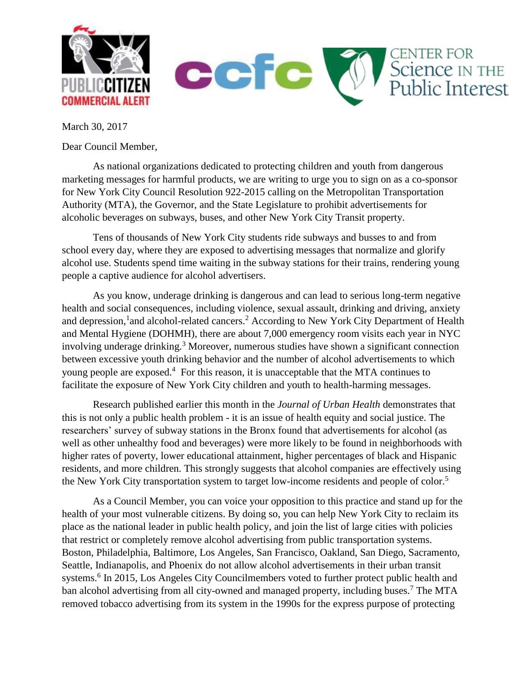

March 30, 2017

Dear Council Member,

As national organizations dedicated to protecting children and youth from dangerous marketing messages for harmful products, we are writing to urge you to sign on as a co-sponsor for New York City Council Resolution 922-2015 calling on the Metropolitan Transportation Authority (MTA), the Governor, and the State Legislature to prohibit advertisements for alcoholic beverages on subways, buses, and other New York City Transit property.

Tens of thousands of New York City students ride subways and busses to and from school every day, where they are exposed to advertising messages that normalize and glorify alcohol use. Students spend time waiting in the subway stations for their trains, rendering young people a captive audience for alcohol advertisers.

As you know, underage drinking is dangerous and can lead to serious long-term negative health and social consequences, including violence, sexual assault, drinking and driving, anxiety and depression,<sup>1</sup> and alcohol-related cancers.<sup>2</sup> According to New York City Department of Health and Mental Hygiene (DOHMH), there are about 7,000 emergency room visits each year in NYC involving underage drinking.<sup>3</sup> Moreover, numerous studies have shown a significant connection between excessive youth drinking behavior and the number of alcohol advertisements to which young people are exposed.<sup>4</sup> For this reason, it is unacceptable that the MTA continues to facilitate the exposure of New York City children and youth to health-harming messages.

Research published earlier this month in the *Journal of Urban Health* demonstrates that this is not only a public health problem - it is an issue of health equity and social justice. The researchers' survey of subway stations in the Bronx found that advertisements for alcohol (as well as other unhealthy food and beverages) were more likely to be found in neighborhoods with higher rates of poverty, lower educational attainment, higher percentages of black and Hispanic residents, and more children. This strongly suggests that alcohol companies are effectively using the New York City transportation system to target low-income residents and people of color.<sup>5</sup>

As a Council Member, you can voice your opposition to this practice and stand up for the health of your most vulnerable citizens. By doing so, you can help New York City to reclaim its place as the national leader in public health policy, and join the list of large cities with policies that restrict or completely remove alcohol advertising from public transportation systems. Boston, Philadelphia, Baltimore, Los Angeles, San Francisco, Oakland, San Diego, Sacramento, Seattle, Indianapolis, and Phoenix do not allow alcohol advertisements in their urban transit systems.<sup>6</sup> In 2015, Los Angeles City Councilmembers voted to further protect public health and ban alcohol advertising from all city-owned and managed property, including buses.<sup>7</sup> The MTA removed tobacco advertising from its system in the 1990s for the express purpose of protecting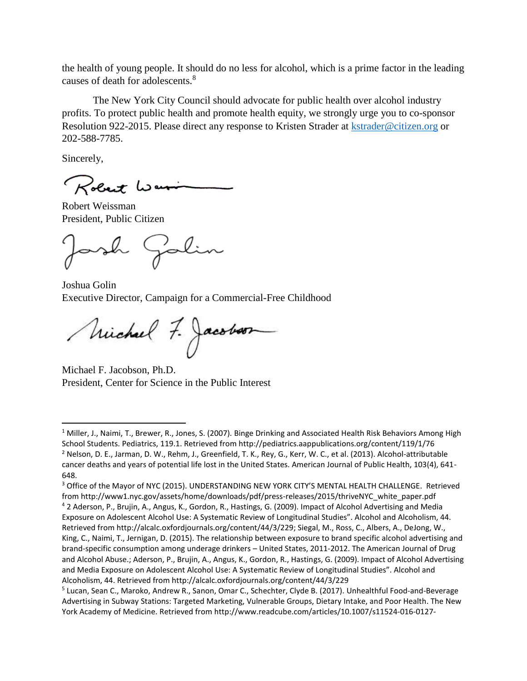the health of young people. It should do no less for alcohol, which is a prime factor in the leading causes of death for adolescents.<sup>8</sup>

The New York City Council should advocate for public health over alcohol industry profits. To protect public health and promote health equity, we strongly urge you to co-sponsor Resolution 922-2015. Please direct any response to Kristen Strader at [kstrader@citizen.org](mailto:kstrader@citizen.org) or 202-588-7785.

Sincerely,

l

Robert War

Robert Weissman President, Public Citizen

ash Galin

Joshua Golin Executive Director, Campaign for a Commercial-Free Childhood

Michael 7. Jacobson

Michael F. Jacobson, Ph.D. President, Center for Science in the Public Interest

 $1$  Miller, J., Naimi, T., Brewer, R., Jones, S. (2007). Binge Drinking and Associated Health Risk Behaviors Among High School Students. Pediatrics, 119.1. Retrieved from http://pediatrics.aappublications.org/content/119/1/76 <sup>2</sup> Nelson, D. E., Jarman, D. W., Rehm, J., Greenfield, T. K., Rey, G., Kerr, W. C., et al. (2013). Alcohol-attributable cancer deaths and years of potential life lost in the United States. American Journal of Public Health, 103(4), 641- 648.

<sup>&</sup>lt;sup>3</sup> Office of the Mayor of NYC (2015). UNDERSTANDING NEW YORK CITY'S MENTAL HEALTH CHALLENGE. Retrieved from http://www1.nyc.gov/assets/home/downloads/pdf/press-releases/2015/thriveNYC\_white\_paper.pdf

<sup>4</sup> 2 Aderson, P., Brujin, A., Angus, K., Gordon, R., Hastings, G. (2009). Impact of Alcohol Advertising and Media Exposure on Adolescent Alcohol Use: A Systematic Review of Longitudinal Studies". Alcohol and Alcoholism, 44. Retrieved from http://alcalc.oxfordjournals.org/content/44/3/229; Siegal, M., Ross, C., Albers, A., DeJong, W., King, C., Naimi, T., Jernigan, D. (2015). The relationship between exposure to brand specific alcohol advertising and brand-specific consumption among underage drinkers – United States, 2011-2012. The American Journal of Drug and Alcohol Abuse.; Aderson, P., Brujin, A., Angus, K., Gordon, R., Hastings, G. (2009). Impact of Alcohol Advertising and Media Exposure on Adolescent Alcohol Use: A Systematic Review of Longitudinal Studies". Alcohol and Alcoholism, 44. Retrieved from http://alcalc.oxfordjournals.org/content/44/3/229

<sup>&</sup>lt;sup>5</sup> Lucan, Sean C., Maroko, Andrew R., Sanon, Omar C., Schechter, Clyde B. (2017). Unhealthful Food-and-Beverage Advertising in Subway Stations: Targeted Marketing, Vulnerable Groups, Dietary Intake, and Poor Health. The New York Academy of Medicine. Retrieved from http://www.readcube.com/articles/10.1007/s11524-016-0127-